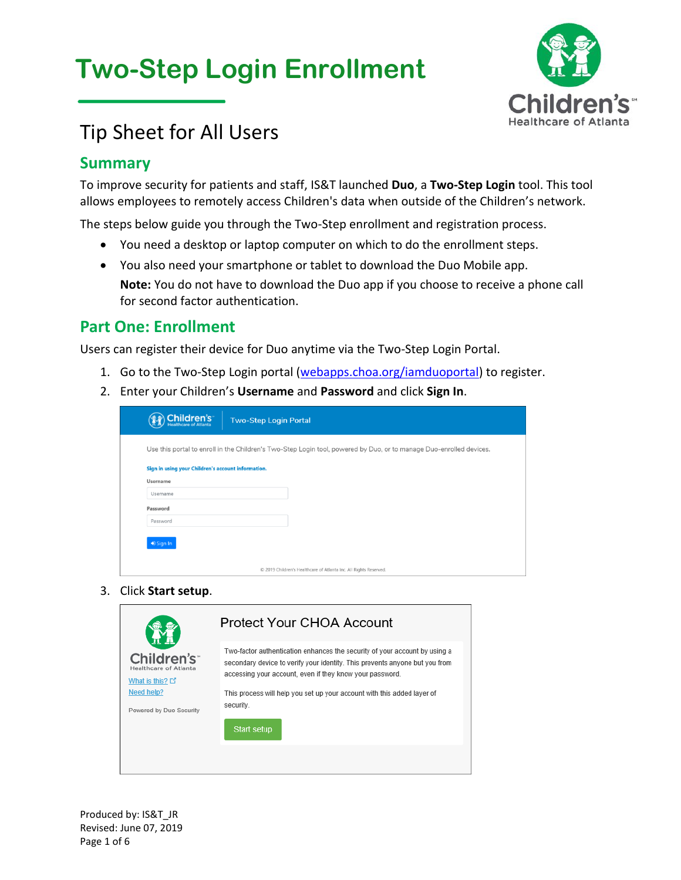# **Two-Step Login Enrollment**



## Tip Sheet for All Users

### **Summary**

To improve security for patients and staff, IS&T launched **Duo**, a **Two-Step Login** tool. This tool allows employees to remotely access Children's data when outside of the Children's network.

The steps below guide you through the Two-Step enrollment and registration process.

- You need a desktop or laptop computer on which to do the enrollment steps.
- You also need your smartphone or tablet to download the Duo Mobile app. **Note:** You do not have to download the Duo app if you choose to receive a phone call for second factor authentication.

### **Part One: Enrollment**

Users can register their device for Duo anytime via the Two-Step Login Portal.

- 1. Go to the Two-Step Login portal [\(webapps.choa.org/iamduoportal\)](https://webapps.choa.org/iamduoportal) to register.
- 2. Enter your Children's **Username** and **Password** and click **Sign In**.

| Children's<br><b>Two-Step Login Portal</b><br><b>Jealthcare of Atlanta</b>                                          |
|---------------------------------------------------------------------------------------------------------------------|
| Use this portal to enroll in the Children's Two-Step Login tool, powered by Duo, or to manage Duo-enrolled devices. |
| Sign in using your Children's account information.                                                                  |
| Username                                                                                                            |
| Username                                                                                                            |
| Password                                                                                                            |
| Password                                                                                                            |
| <b>D</b> Sign In                                                                                                    |
| © 2019 Children's Healthcare of Atlanta Inc. All Rights Reserved.                                                   |

3. Click **Start setup**.

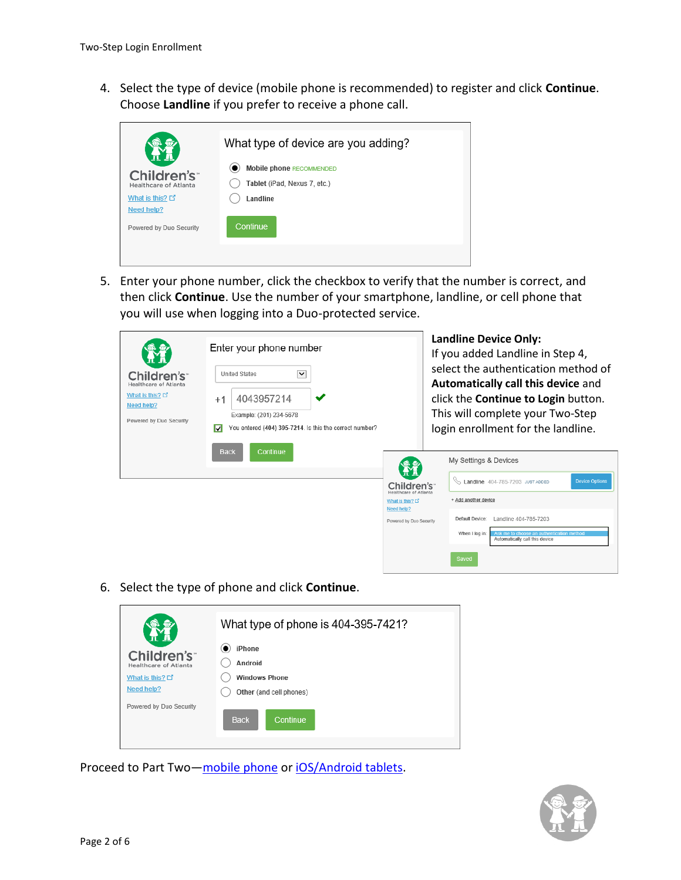4. Select the type of device (mobile phone is recommended) to register and click **Continue**. Choose **Landline** if you prefer to receive a phone call.



5. Enter your phone number, click the checkbox to verify that the number is correct, and then click **Continue**. Use the number of your smartphone, landline, or cell phone that you will use when logging into a Duo-protected service.

| Children's <sup>®</sup><br>Healthcare of Atlanta<br>What is this? L'<br>Need help?<br>Powered by Duo Security | Enter your phone number<br>$\checkmark$<br><b>United States</b><br>4043957214<br>$+1$<br>Example: (201) 234-5678<br>You entered (404) 395-7214. Is this the correct number?<br>☑ |                                                  | <b>Landline Device Only:</b><br>If you added Landline in Step 4,<br>select the authentication method of<br>Automatically call this device and<br>click the Continue to Login button.<br>This will complete your Two-Step<br>login enrollment for the landline. |                                                                                               |
|---------------------------------------------------------------------------------------------------------------|----------------------------------------------------------------------------------------------------------------------------------------------------------------------------------|--------------------------------------------------|----------------------------------------------------------------------------------------------------------------------------------------------------------------------------------------------------------------------------------------------------------------|-----------------------------------------------------------------------------------------------|
|                                                                                                               | <b>Back</b><br>Continue                                                                                                                                                          |                                                  |                                                                                                                                                                                                                                                                | My Settings & Devices                                                                         |
|                                                                                                               |                                                                                                                                                                                  | Children's <sup>®</sup><br>Healthcare of Atlanta |                                                                                                                                                                                                                                                                | ⇖<br>Landline 404-785-7203 JUST ADDED<br><b>Device Options</b>                                |
|                                                                                                               |                                                                                                                                                                                  | What is this? L'<br>Need help?                   |                                                                                                                                                                                                                                                                | + Add another device                                                                          |
|                                                                                                               |                                                                                                                                                                                  | Powered by Duo Security                          |                                                                                                                                                                                                                                                                | Default Device:<br>Landline 404-785-7203                                                      |
|                                                                                                               |                                                                                                                                                                                  |                                                  |                                                                                                                                                                                                                                                                | When I log in:<br>Ask me to choose an authentication method<br>Automatically call this device |

6. Select the type of phone and click **Continue**.

| iPhone<br>Children's<br>Android<br>Healthcare of Atlanta<br><b>Windows Phone</b><br>What is this? $\square$<br>Need help?<br>Other (and cell phones) |
|------------------------------------------------------------------------------------------------------------------------------------------------------|
|                                                                                                                                                      |
|                                                                                                                                                      |
|                                                                                                                                                      |
|                                                                                                                                                      |
| Powered by Duo Security<br><b>Back</b><br>Continue                                                                                                   |

Proceed to Part Two—[mobile phone](#page-2-0) or [iOS/Android tablets.](#page-4-0)

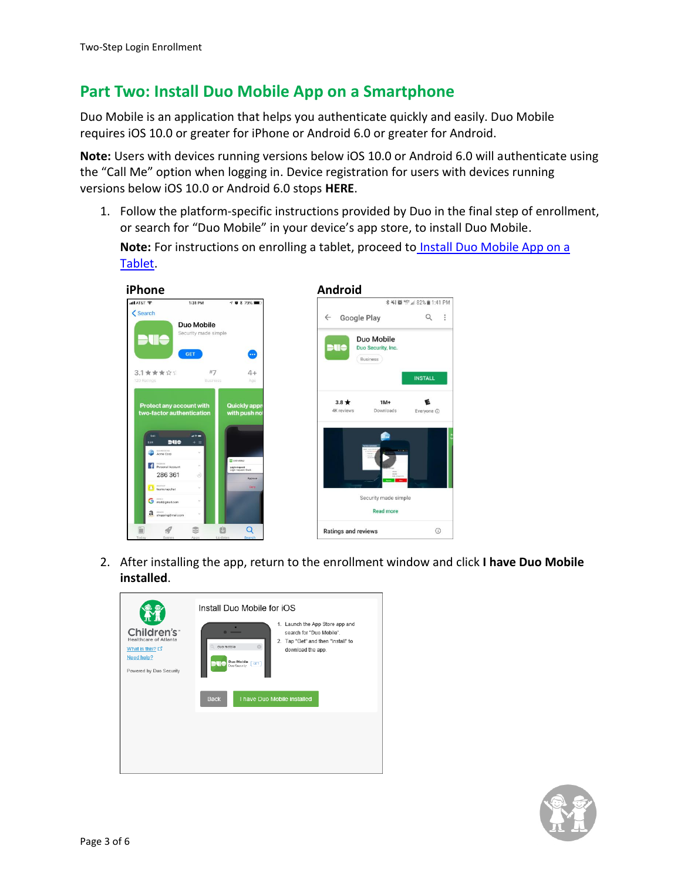### <span id="page-2-0"></span>**Part Two: Install Duo Mobile App on a Smartphone**

Duo Mobile is an application that helps you authenticate quickly and easily. Duo Mobile requires iOS 10.0 or greater for iPhone or Android 6.0 or greater for Android.

**Note:** Users with devices running versions below iOS 10.0 or Android 6.0 will authenticate using the "Call Me" option when logging in. Device registration for users with devices running versions below iOS 10.0 or Android 6.0 stops **HERE**.

1. Follow the platform-specific instructions provided by Duo in the final step of enrollment, or search for "Duo Mobile" in your device's app store, to install Duo Mobile.

Note: For instructions on enrolling a tablet, proceed to **Install Duo Mobile App on a** [Tablet.](#page-4-0)





2. After installing the app, return to the enrollment window and click **I have Duo Mobile installed**.



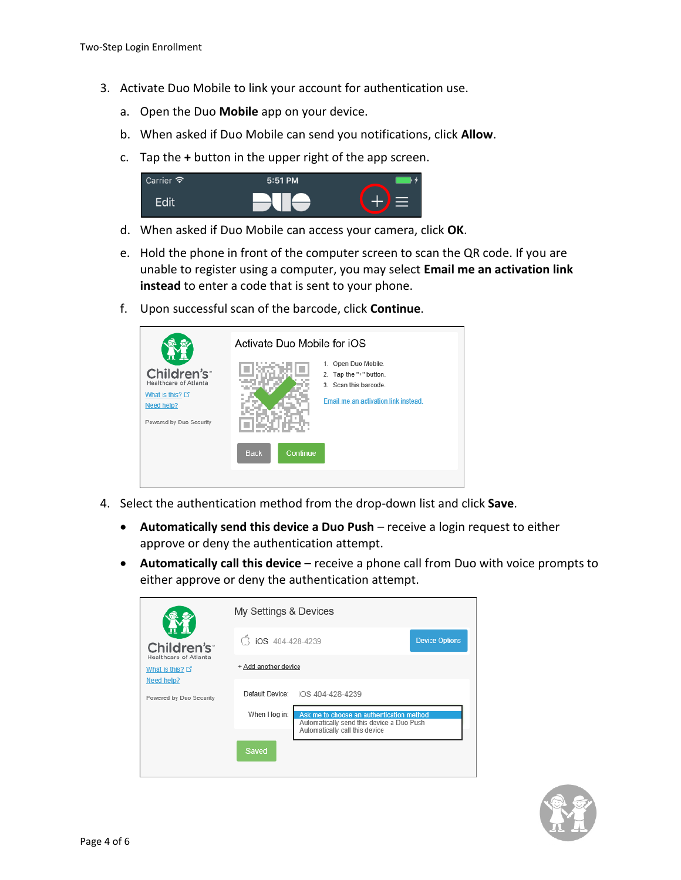- 3. Activate Duo Mobile to link your account for authentication use.
	- a. Open the Duo **Mobile** app on your device.
	- b. When asked if Duo Mobile can send you notifications, click **Allow**.
	- c. Tap the **+** button in the upper right of the app screen.



- d. When asked if Duo Mobile can access your camera, click **OK**.
- e. Hold the phone in front of the computer screen to scan the QR code. If you are unable to register using a computer, you may select **Email me an activation link instead** to enter a code that is sent to your phone.
- f. Upon successful scan of the barcode, click **Continue**.

|                                                                                                  | Activate Duo Mobile for iOS |                                                                                                                |  |
|--------------------------------------------------------------------------------------------------|-----------------------------|----------------------------------------------------------------------------------------------------------------|--|
| Children's<br>Healthcare of Atlanta<br>What is this? L'<br>Need help?<br>Powered by Duo Security |                             | 1. Open Duo Mobile.<br>2. Tap the "+" button.<br>3. Scan this barcode.<br>Email me an activation link instead. |  |
|                                                                                                  | <b>Back</b><br>Continue     |                                                                                                                |  |

- 4. Select the authentication method from the drop-down list and click **Save**.
	- **Automatically send this device a Duo Push** receive a login request to either approve or deny the authentication attempt.
	- **Automatically call this device** receive a phone call from Duo with voice prompts to either approve or deny the authentication attempt.

|                                                                | My Settings & Devices |                                                                                                                          |                       |  |
|----------------------------------------------------------------|-----------------------|--------------------------------------------------------------------------------------------------------------------------|-----------------------|--|
| Children's <sup>®</sup>                                        | iOS 404-428-4239      |                                                                                                                          | <b>Device Options</b> |  |
| Healthcare of Atlanta<br>What is this? $\square$<br>Need help? | + Add another device  |                                                                                                                          |                       |  |
| Powered by Duo Security                                        | Default Device:       | iOS 404-428-4239                                                                                                         |                       |  |
|                                                                | When I log in:        | Ask me to choose an authentication method<br>Automatically send this device a Duo Push<br>Automatically call this device |                       |  |
|                                                                | Saved                 |                                                                                                                          |                       |  |

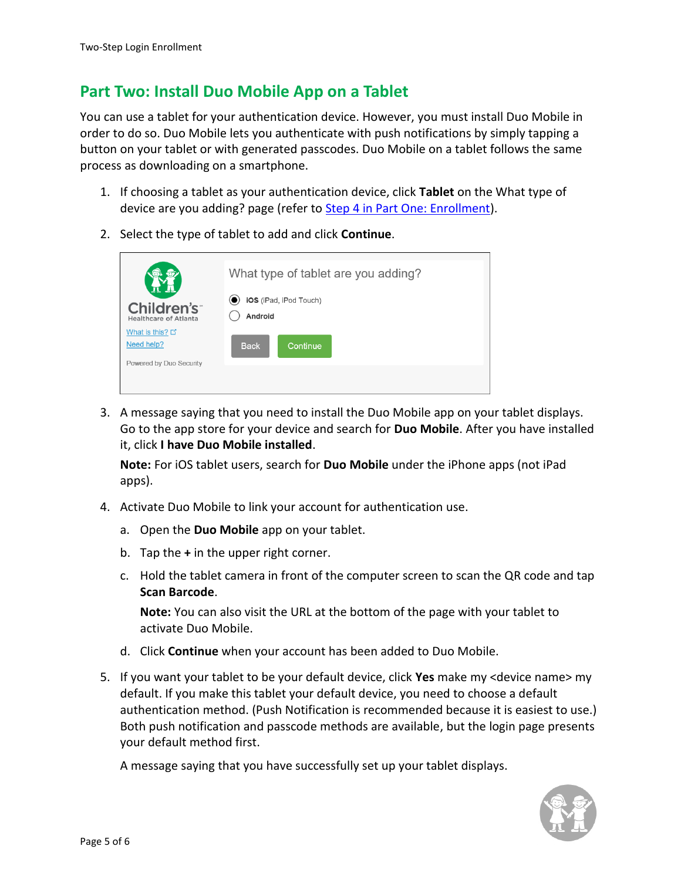### <span id="page-4-0"></span>**Part Two: Install Duo Mobile App on a Tablet**

You can use a tablet for your authentication device. However, you must install Duo Mobile in order to do so. Duo Mobile lets you authenticate with push notifications by simply tapping a button on your tablet or with generated passcodes. Duo Mobile on a tablet follows the same process as downloading on a smartphone.

- 1. If choosing a tablet as your authentication device, click **Tablet** on the What type of device are you adding? page (refer to Step 4 in Part One: Enrollment).
- 2. Select the type of tablet to add and click **Continue**.



3. A message saying that you need to install the Duo Mobile app on your tablet displays. Go to the app store for your device and search for **Duo Mobile**. After you have installed it, click **I have Duo Mobile installed**.

**Note:** For iOS tablet users, search for **Duo Mobile** under the iPhone apps (not iPad apps).

- 4. Activate Duo Mobile to link your account for authentication use.
	- a. Open the **Duo Mobile** app on your tablet.
	- b. Tap the **+** in the upper right corner.
	- c. Hold the tablet camera in front of the computer screen to scan the QR code and tap **Scan Barcode**.

**Note:** You can also visit the URL at the bottom of the page with your tablet to activate Duo Mobile.

- d. Click **Continue** when your account has been added to Duo Mobile.
- 5. If you want your tablet to be your default device, click **Yes** make my <device name> my default. If you make this tablet your default device, you need to choose a default authentication method. (Push Notification is recommended because it is easiest to use.) Both push notification and passcode methods are available, but the login page presents your default method first.

A message saying that you have successfully set up your tablet displays.